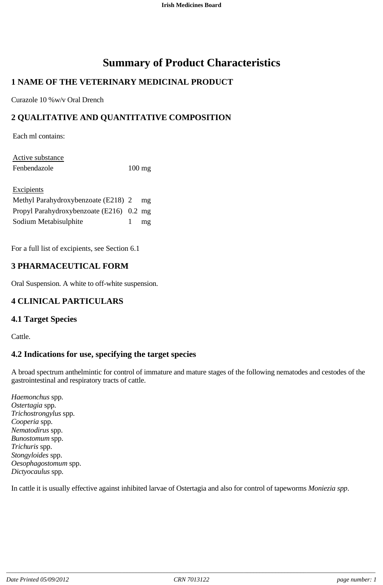# **Summary of Product Characteristics**

# **1 NAME OF THE VETERINARY MEDICINAL PRODUCT**

Curazole 10 %w/v Oral Drench

# **2 QUALITATIVE AND QUANTITATIVE COMPOSITION**

Each ml contains:

| Active substance |                  |
|------------------|------------------|
| Fenbendazole     | $100 \text{ mg}$ |

| Excipients                               |    |
|------------------------------------------|----|
| Methyl Parahydroxybenzoate (E218) 2      | mg |
| Propyl Parahydroxybenzoate (E216) 0.2 mg |    |
| Sodium Metabisulphite                    | mg |

For a full list of excipients, see Section 6.1

# **3 PHARMACEUTICAL FORM**

Oral Suspension. A white to off-white suspension.

# **4 CLINICAL PARTICULARS**

#### **4.1 Target Species**

Cattle.

# **4.2 Indications for use, specifying the target species**

A broad spectrum anthelmintic for control of immature and mature stages of the following nematodes and cestodes of the gastrointestinal and respiratory tracts of cattle.

*Haemonchus* spp. *Ostertagia* spp. *Trichostrongylus* spp. *Cooperia* spp. *Nematodirus* spp. *Bunostomum* spp. *Trichuris* spp. *Stongyloides* spp. *Oesophagostomum* spp. *Dictyocaulus* spp.

In cattle it is usually effective against inhibited larvae of Ostertagia and also for control of tapeworms *Moniezia spp*.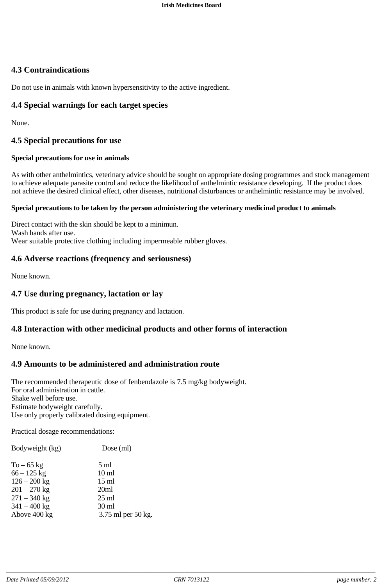# **4.3 Contraindications**

Do not use in animals with known hypersensitivity to the active ingredient.

# **4.4 Special warnings for each target species**

None.

# **4.5 Special precautions for use**

#### **Special precautions for use in animals**

As with other anthelmintics, veterinary advice should be sought on appropriate dosing programmes and stock management to achieve adequate parasite control and reduce the likelihood of anthelmintic resistance developing. If the product does not achieve the desired clinical effect, other diseases, nutritional disturbances or anthelmintic resistance may be involved.

#### **Special precautions to be taken by the person administering the veterinary medicinal product to animals**

Direct contact with the skin should be kept to a minimun. Wash hands after use. Wear suitable protective clothing including impermeable rubber gloves.

### **4.6 Adverse reactions (frequency and seriousness)**

None known.

### **4.7 Use during pregnancy, lactation or lay**

This product is safe for use during pregnancy and lactation.

# **4.8 Interaction with other medicinal products and other forms of interaction**

None known.

# **4.9 Amounts to be administered and administration route**

The recommended therapeutic dose of fenbendazole is 7.5 mg/kg bodyweight. For oral administration in cattle. Shake well before use. Estimate bodyweight carefully. Use only properly calibrated dosing equipment.

Practical dosage recommendations:

| Bodyweight (kg)                                                                                                       | $Dose$ (ml)                                                                                                               |
|-----------------------------------------------------------------------------------------------------------------------|---------------------------------------------------------------------------------------------------------------------------|
| $To - 65$ kg<br>$66 - 125$ kg<br>$126 - 200$ kg<br>$201 - 270$ kg<br>$271 - 340$ kg<br>$341 - 400$ kg<br>Above 400 kg | $5 \text{ ml}$<br>10 <sub>ml</sub><br>$15 \text{ ml}$<br>20ml<br>$25 \text{ ml}$<br>$30 \text{ ml}$<br>3.75 ml per 50 kg. |
|                                                                                                                       |                                                                                                                           |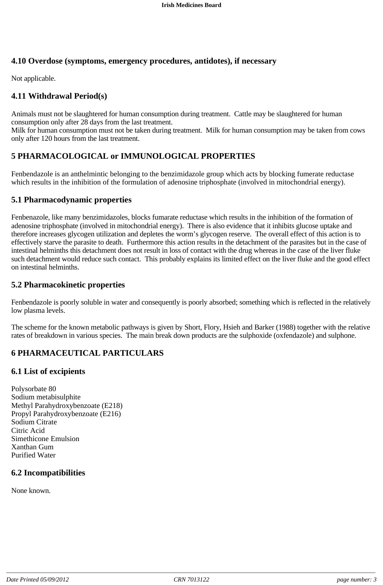# **4.10 Overdose (symptoms, emergency procedures, antidotes), if necessary**

Not applicable.

# **4.11 Withdrawal Period(s)**

Animals must not be slaughtered for human consumption during treatment. Cattle may be slaughtered for human consumption only after 28 days from the last treatment.

Milk for human consumption must not be taken during treatment. Milk for human consumption may be taken from cows only after 120 hours from the last treatment.

# **5 PHARMACOLOGICAL or IMMUNOLOGICAL PROPERTIES**

Fenbendazole is an anthelmintic belonging to the benzimidazole group which acts by blocking fumerate reductase which results in the inhibition of the formulation of adenosine triphosphate (involved in mitochondrial energy).

#### **5.1 Pharmacodynamic properties**

Fenbenazole, like many benzimidazoles, blocks fumarate reductase which results in the inhibition of the formation of adenosine triphosphate (involved in mitochondrial energy). There is also evidence that it inhibits glucose uptake and therefore increases glycogen utilization and depletes the worm's glycogen reserve. The overall effect of this action is to effectively starve the parasite to death. Furthermore this action results in the detachment of the parasites but in the case of intestinal helminths this detachment does not result in loss of contact with the drug whereas in the case of the liver fluke such detachment would reduce such contact. This probably explains its limited effect on the liver fluke and the good effect on intestinal helminths.

### **5.2 Pharmacokinetic properties**

Fenbendazole is poorly soluble in water and consequently is poorly absorbed; something which is reflected in the relatively low plasma levels.

The scheme for the known metabolic pathways is given by Short, Flory, Hsieh and Barker (1988) together with the relative rates of breakdown in various species. The main break down products are the sulphoxide (oxfendazole) and sulphone.

# **6 PHARMACEUTICAL PARTICULARS**

#### **6.1 List of excipients**

Polysorbate 80 Sodium metabisulphite Methyl Parahydroxybenzoate (E218) Propyl Parahydroxybenzoate (E216) Sodium Citrate Citric Acid Simethicone Emulsion Xanthan Gum Purified Water

# **6.2 Incompatibilities**

None known.